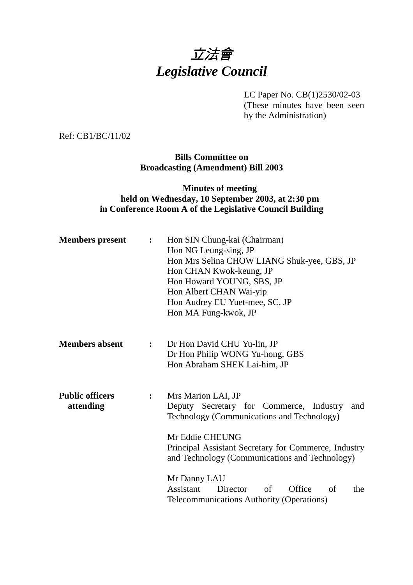# 立法會 *Legislative Council*

LC Paper No. CB(1)2530/02-03

(These minutes have been seen by the Administration)

Ref: CB1/BC/11/02

**Bills Committee on Broadcasting (Amendment) Bill 2003**

### **Minutes of meeting held on Wednesday, 10 September 2003, at 2:30 pm in Conference Room A of the Legislative Council Building**

| <b>Members</b> present              | $\ddot{\cdot}$   | Hon SIN Chung-kai (Chairman)<br>Hon NG Leung-sing, JP<br>Hon Mrs Selina CHOW LIANG Shuk-yee, GBS, JP<br>Hon CHAN Kwok-keung, JP<br>Hon Howard YOUNG, SBS, JP<br>Hon Albert CHAN Wai-yip<br>Hon Audrey EU Yuet-mee, SC, JP<br>Hon MA Fung-kwok, JP |  |
|-------------------------------------|------------------|---------------------------------------------------------------------------------------------------------------------------------------------------------------------------------------------------------------------------------------------------|--|
| <b>Members absent</b>               | $\ddot{\bullet}$ | Dr Hon David CHU Yu-lin, JP<br>Dr Hon Philip WONG Yu-hong, GBS<br>Hon Abraham SHEK Lai-him, JP                                                                                                                                                    |  |
| <b>Public officers</b><br>attending | $\ddot{\cdot}$   | Mrs Marion LAI, JP<br>Deputy Secretary for Commerce, Industry<br>and<br>Technology (Communications and Technology)<br>Mr Eddie CHEUNG<br>Principal Assistant Secretary for Commerce, Industry<br>and Technology (Communications and Technology)   |  |
|                                     |                  | Mr Danny LAU<br>Assistant<br>of<br>Office<br>Director<br>of<br>the<br>Telecommunications Authority (Operations)                                                                                                                                   |  |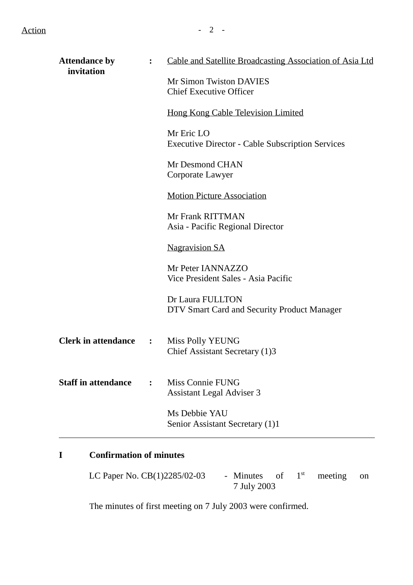| <b>Attendance by</b><br>invitation |                | Cable and Satellite Broadcasting Association of Asia Ltd              |
|------------------------------------|----------------|-----------------------------------------------------------------------|
|                                    |                | Mr Simon Twiston DAVIES<br><b>Chief Executive Officer</b>             |
|                                    |                | Hong Kong Cable Television Limited                                    |
|                                    |                | Mr Eric LO<br><b>Executive Director - Cable Subscription Services</b> |
|                                    |                | Mr Desmond CHAN<br>Corporate Lawyer                                   |
|                                    |                | <b>Motion Picture Association</b>                                     |
|                                    |                | Mr Frank RITTMAN<br>Asia - Pacific Regional Director                  |
|                                    |                | <b>Nagravision SA</b>                                                 |
|                                    |                | Mr Peter IANNAZZO<br>Vice President Sales - Asia Pacific              |
|                                    |                | Dr Laura FULLTON<br>DTV Smart Card and Security Product Manager       |
| <b>Clerk in attendance</b>         | $\ddot{\cdot}$ | Miss Polly YEUNG<br>Chief Assistant Secretary (1)3                    |
| <b>Staff in attendance</b>         |                | <b>Miss Connie FUNG</b><br><b>Assistant Legal Adviser 3</b>           |
|                                    |                | Ms Debbie YAU<br>Senior Assistant Secretary (1)1                      |

## **I Confirmation of minutes**

LC Paper No.  $CB(1)2285/02-03$  - Minutes of  $1<sup>st</sup>$  meeting on 7 July 2003

The minutes of first meeting on 7 July 2003 were confirmed.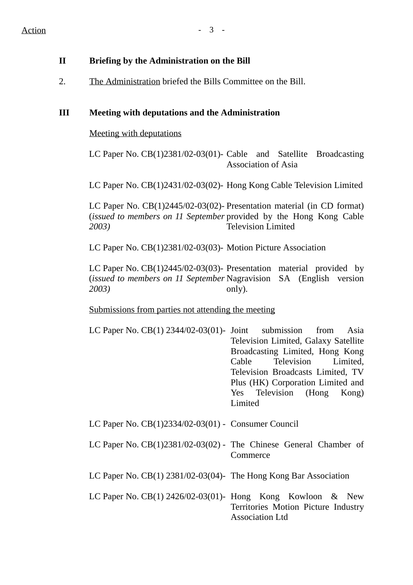#### **II Briefing by the Administration on the Bill**

2. The Administration briefed the Bills Committee on the Bill.

#### **III Meeting with deputations and the Administration**

Meeting with deputations

LC Paper No. CB(1)2381/02-03(01)- Cable and Satellite Broadcasting Association of Asia

LC Paper No. CB(1)2431/02-03(02)- Hong Kong Cable Television Limited

LC Paper No. CB(1)2445/02-03(02)- Presentation material (in CD format) (*issued to members on 11 September* provided by the Hong Kong Cable *2003)* Television Limited

LC Paper No. CB(1)2381/02-03(03)- Motion Picture Association

LC Paper No. CB(1)2445/02-03(03)- Presentation material provided by (*issued to members on 11 September* Nagravision SA (English version *2003)* only).

Submissions from parties not attending the meeting

LC Paper No. CB(1) 2344/02-03(01)- Joint submission from Asia Television Limited, Galaxy Satellite Broadcasting Limited, Hong Kong Cable Television Limited, Television Broadcasts Limited, TV Plus (HK) Corporation Limited and Yes Television (Hong Kong) **Limited** 

LC Paper No. CB(1)2334/02-03(01) - Consumer Council

- LC Paper No. CB(1)2381/02-03(02) The Chinese General Chamber of **Commerce**
- LC Paper No. CB(1) 2381/02-03(04)- The Hong Kong Bar Association
- LC Paper No. CB(1) 2426/02-03(01)- Hong Kong Kowloon & New Territories Motion Picture Industry Association Ltd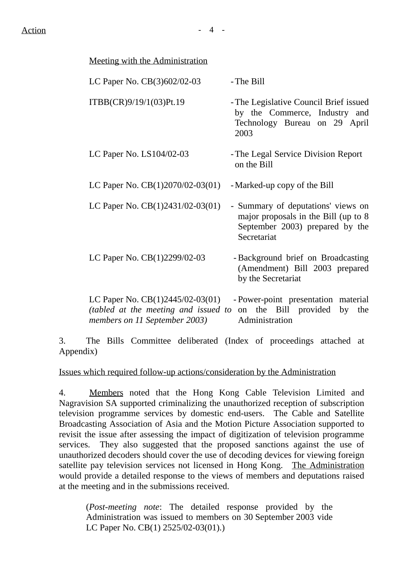| Meeting with the Administration                                                                             |                                                                                                                              |
|-------------------------------------------------------------------------------------------------------------|------------------------------------------------------------------------------------------------------------------------------|
| LC Paper No. CB(3)602/02-03                                                                                 | - The Bill                                                                                                                   |
| ITBB(CR)9/19/1(03)Pt.19                                                                                     | - The Legislative Council Brief issued<br>by the Commerce, Industry and<br>Technology Bureau on 29 April<br>2003             |
| LC Paper No. $LS104/02-03$                                                                                  | - The Legal Service Division Report<br>on the Bill                                                                           |
| LC Paper No. CB(1)2070/02-03(01)                                                                            | - Marked-up copy of the Bill                                                                                                 |
| LC Paper No. CB(1)2431/02-03(01)                                                                            | - Summary of deputations' views on<br>major proposals in the Bill (up to 8<br>September 2003) prepared by the<br>Secretariat |
| LC Paper No. CB(1)2299/02-03                                                                                | - Background brief on Broadcasting<br>(Amendment) Bill 2003 prepared<br>by the Secretariat                                   |
| LC Paper No. $CB(1)2445/02-03(01)$<br>(tabled at the meeting and issued to<br>members on 11 September 2003) | - Power-point presentation material<br>the Bill provided<br>on<br>by<br>the<br>Administration                                |

3. The Bills Committee deliberated (Index of proceedings attached at Appendix)

Issues which required follow-up actions/consideration by the Administration

4. Members noted that the Hong Kong Cable Television Limited and Nagravision SA supported criminalizing the unauthorized reception of subscription television programme services by domestic end-users. The Cable and Satellite Broadcasting Association of Asia and the Motion Picture Association supported to revisit the issue after assessing the impact of digitization of television programme services. They also suggested that the proposed sanctions against the use of unauthorized decoders should cover the use of decoding devices for viewing foreign satellite pay television services not licensed in Hong Kong. The Administration would provide a detailed response to the views of members and deputations raised at the meeting and in the submissions received.

(*Post-meeting note*: The detailed response provided by the Administration was issued to members on 30 September 2003 vide LC Paper No. CB(1) 2525/02-03(01).)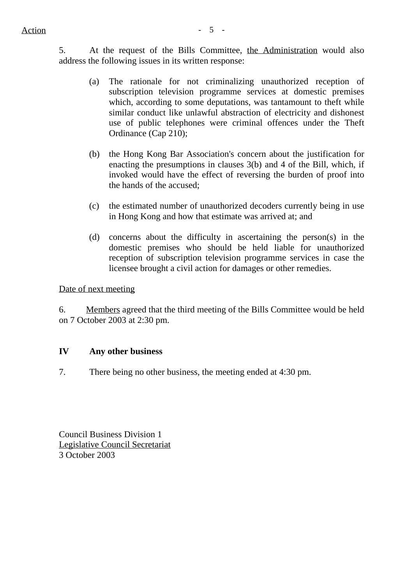5. At the request of the Bills Committee, the Administration would also address the following issues in its written response:

- (a) The rationale for not criminalizing unauthorized reception of subscription television programme services at domestic premises which, according to some deputations, was tantamount to theft while similar conduct like unlawful abstraction of electricity and dishonest use of public telephones were criminal offences under the Theft Ordinance (Cap 210);
- (b) the Hong Kong Bar Association's concern about the justification for enacting the presumptions in clauses 3(b) and 4 of the Bill, which, if invoked would have the effect of reversing the burden of proof into the hands of the accused;
- (c) the estimated number of unauthorized decoders currently being in use in Hong Kong and how that estimate was arrived at; and
- (d) concerns about the difficulty in ascertaining the person(s) in the domestic premises who should be held liable for unauthorized reception of subscription television programme services in case the licensee brought a civil action for damages or other remedies.

Date of next meeting

6. Members agreed that the third meeting of the Bills Committee would be held on 7 October 2003 at 2:30 pm.

#### **IV Any other business**

7. There being no other business, the meeting ended at 4:30 pm.

Council Business Division 1 Legislative Council Secretariat 3 October 2003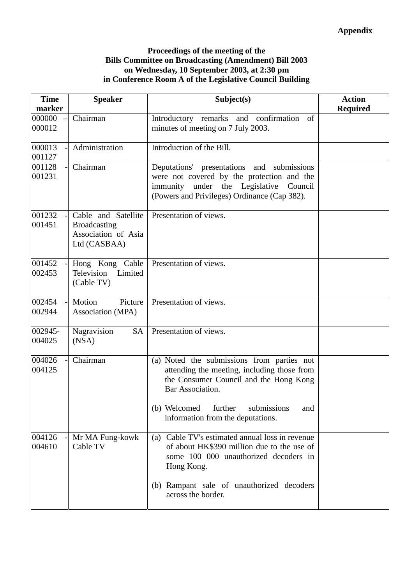#### **Proceedings of the meeting of the Bills Committee on Broadcasting (Amendment) Bill 2003 on Wednesday, 10 September 2003, at 2:30 pm in Conference Room A of the Legislative Council Building**

| <b>Time</b><br>marker | <b>Speaker</b>                                                                    | Subject(s)                                                                                                                                                                                                                                    | <b>Action</b><br><b>Required</b> |
|-----------------------|-----------------------------------------------------------------------------------|-----------------------------------------------------------------------------------------------------------------------------------------------------------------------------------------------------------------------------------------------|----------------------------------|
| 000000<br>000012      | Chairman                                                                          | confirmation<br>Introductory remarks and<br>of<br>minutes of meeting on 7 July 2003.                                                                                                                                                          |                                  |
| 000013<br>001127      | Administration                                                                    | Introduction of the Bill.                                                                                                                                                                                                                     |                                  |
| 001128<br>001231      | Chairman                                                                          | Deputations' presentations and submissions<br>were not covered by the protection and the<br>immunity<br>under the Legislative<br>Council<br>(Powers and Privileges) Ordinance (Cap 382).                                                      |                                  |
| 001232<br>001451      | Cable and Satellite<br><b>Broadcasting</b><br>Association of Asia<br>Ltd (CASBAA) | Presentation of views.                                                                                                                                                                                                                        |                                  |
| 001452<br>002453      | Hong Kong Cable<br>Television<br>Limited<br>(Cable TV)                            | Presentation of views.                                                                                                                                                                                                                        |                                  |
| 002454<br>002944      | Motion<br>Picture<br>Association (MPA)                                            | Presentation of views.                                                                                                                                                                                                                        |                                  |
| 002945-<br>004025     | Nagravision<br><b>SA</b><br>(NSA)                                                 | Presentation of views.                                                                                                                                                                                                                        |                                  |
| 004026<br>004125      | Chairman                                                                          | (a) Noted the submissions from parties not<br>attending the meeting, including those from<br>the Consumer Council and the Hong Kong<br>Bar Association.<br>further<br>(b) Welcomed<br>submissions<br>and<br>information from the deputations. |                                  |
| 004126<br>004610      | Mr MA Fung-kowk<br>Cable TV                                                       | Cable TV's estimated annual loss in revenue<br>(a)<br>of about HK\$390 million due to the use of<br>some 100 000 unauthorized decoders in<br>Hong Kong.                                                                                       |                                  |
|                       |                                                                                   | (b) Rampant sale of unauthorized decoders<br>across the border.                                                                                                                                                                               |                                  |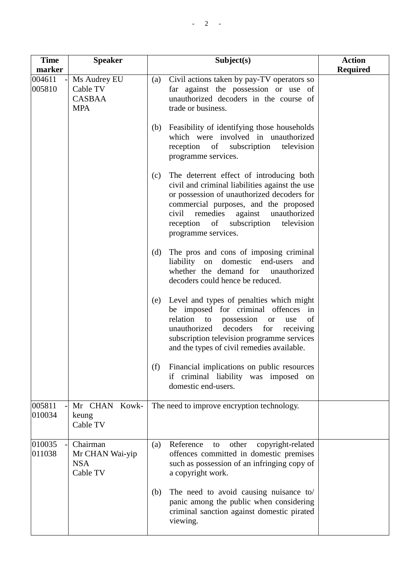| <b>Time</b>      | <b>Speaker</b>                                        | Subject(s)                                                                                                                                                                                                                                                                                              | <b>Action</b>   |
|------------------|-------------------------------------------------------|---------------------------------------------------------------------------------------------------------------------------------------------------------------------------------------------------------------------------------------------------------------------------------------------------------|-----------------|
| marker<br>004611 | Ms Audrey EU                                          | Civil actions taken by pay-TV operators so<br>(a)                                                                                                                                                                                                                                                       | <b>Required</b> |
| 005810           | Cable TV<br><b>CASBAA</b><br><b>MPA</b>               | far against the possession or use of<br>unauthorized decoders in the course of<br>trade or business.                                                                                                                                                                                                    |                 |
|                  |                                                       | Feasibility of identifying those households<br>(b)<br>which were involved in unauthorized<br>reception of subscription<br>television<br>programme services.                                                                                                                                             |                 |
|                  |                                                       | The deterrent effect of introducing both<br>(c)<br>civil and criminal liabilities against the use<br>or possession of unauthorized decoders for<br>commercial purposes, and the proposed<br>civil<br>remedies against<br>unauthorized<br>reception of subscription<br>television<br>programme services. |                 |
|                  |                                                       | The pros and cons of imposing criminal<br>(d)<br>liability<br>domestic end-users<br>on<br>and<br>whether the demand for<br>unauthorized<br>decoders could hence be reduced.                                                                                                                             |                 |
|                  |                                                       | Level and types of penalties which might<br>(e)<br>be imposed for criminal offences in<br>relation to possession<br>of<br>use<br><b>or</b><br>unauthorized<br>decoders<br>for<br>receiving<br>subscription television programme services<br>and the types of civil remedies available.                  |                 |
|                  |                                                       | Financial implications on public resources<br>(f)<br>criminal liability was imposed on<br>if<br>domestic end-users.                                                                                                                                                                                     |                 |
| 005811<br>010034 | Mr CHAN Kowk-<br>keung<br>Cable TV                    | The need to improve encryption technology.                                                                                                                                                                                                                                                              |                 |
| 010035<br>011038 | Chairman<br>Mr CHAN Wai-yip<br><b>NSA</b><br>Cable TV | Reference<br>other<br>copyright-related<br>(a)<br>to<br>offences committed in domestic premises<br>such as possession of an infringing copy of<br>a copyright work.                                                                                                                                     |                 |
|                  |                                                       | The need to avoid causing nuisance to/<br>(b)<br>panic among the public when considering<br>criminal sanction against domestic pirated<br>viewing.                                                                                                                                                      |                 |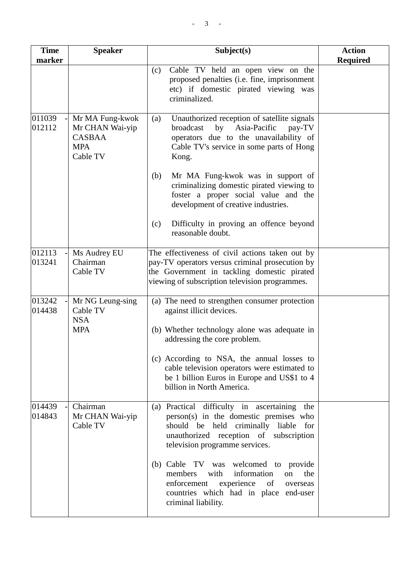| <b>Time</b><br>marker | <b>Speaker</b>                                                                | Subject(s)                                                                                                                                                                                                    | <b>Action</b><br><b>Required</b> |
|-----------------------|-------------------------------------------------------------------------------|---------------------------------------------------------------------------------------------------------------------------------------------------------------------------------------------------------------|----------------------------------|
|                       |                                                                               | Cable TV held an open view on the<br>(c)<br>proposed penalties (i.e. fine, imprisonment<br>etc) if domestic pirated viewing was<br>criminalized.                                                              |                                  |
| 011039<br>012112      | Mr MA Fung-kwok<br>Mr CHAN Wai-yip<br><b>CASBAA</b><br><b>MPA</b><br>Cable TV | Unauthorized reception of satellite signals<br>(a)<br>Asia-Pacific<br>broadcast<br>by<br>pay-TV<br>operators due to the unavailability of<br>Cable TV's service in some parts of Hong<br>Kong.                |                                  |
|                       |                                                                               | Mr MA Fung-kwok was in support of<br>(b)<br>criminalizing domestic pirated viewing to<br>foster a proper social value and the<br>development of creative industries.                                          |                                  |
|                       |                                                                               | Difficulty in proving an offence beyond<br>(c)<br>reasonable doubt.                                                                                                                                           |                                  |
| 012113<br>013241      | Ms Audrey EU<br>Chairman<br>Cable TV                                          | The effectiveness of civil actions taken out by<br>pay-TV operators versus criminal prosecution by<br>the Government in tackling domestic pirated<br>viewing of subscription television programmes.           |                                  |
| 013242<br>014438      | Mr NG Leung-sing<br>Cable TV<br><b>NSA</b><br><b>MPA</b>                      | (a) The need to strengthen consumer protection<br>against illicit devices.<br>(b) Whether technology alone was adequate in<br>addressing the core problem.                                                    |                                  |
|                       |                                                                               | (c) According to NSA, the annual losses to<br>cable television operators were estimated to<br>be 1 billion Euros in Europe and US\$1 to 4<br>billion in North America.                                        |                                  |
| 014439<br>014843      | Chairman<br>Mr CHAN Wai-yip<br>Cable TV                                       | (a) Practical difficulty in ascertaining<br>the<br>person(s) in the domestic premises who<br>should be held criminally liable for<br>unauthorized reception of subscription<br>television programme services. |                                  |
|                       |                                                                               | (b) Cable TV was welcomed to provide<br>information<br>with<br>the<br>members<br>on<br>enforcement<br>experience<br>of<br>overseas<br>countries which had in place end-user<br>criminal liability.            |                                  |